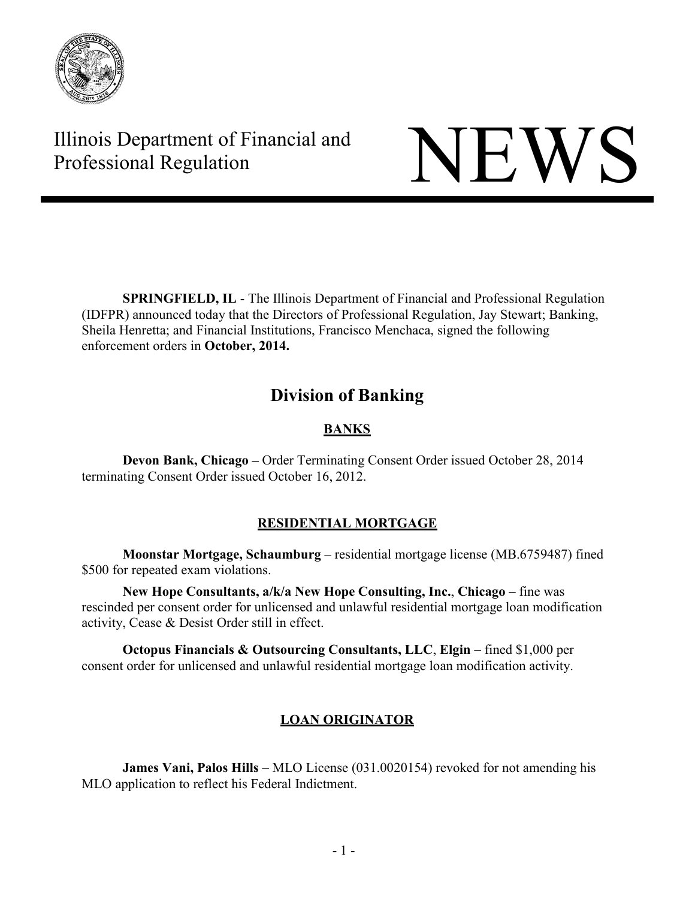

Illinois Department of Financial and Illinois Department of Financial and<br>Professional Regulation NEWS

**SPRINGFIELD, IL** - The Illinois Department of Financial and Professional Regulation (IDFPR) announced today that the Directors of Professional Regulation, Jay Stewart; Banking, Sheila Henretta; and Financial Institutions, Francisco Menchaca, signed the following enforcement orders in **October, 2014.**

# **Division of Banking**

# **BANKS**

**Devon Bank, Chicago –** Order Terminating Consent Order issued October 28, 2014 terminating Consent Order issued October 16, 2012.

# **RESIDENTIAL MORTGAGE**

**Moonstar Mortgage, Schaumburg** – residential mortgage license (MB.6759487) fined \$500 for repeated exam violations.

**New Hope Consultants, a/k/a New Hope Consulting, Inc.**, **Chicago** – fine was rescinded per consent order for unlicensed and unlawful residential mortgage loan modification activity, Cease & Desist Order still in effect.

**Octopus Financials & Outsourcing Consultants, LLC**, **Elgin** – fined \$1,000 per consent order for unlicensed and unlawful residential mortgage loan modification activity.

# **LOAN ORIGINATOR**

**James Vani, Palos Hills** – MLO License (031.0020154) revoked for not amending his MLO application to reflect his Federal Indictment.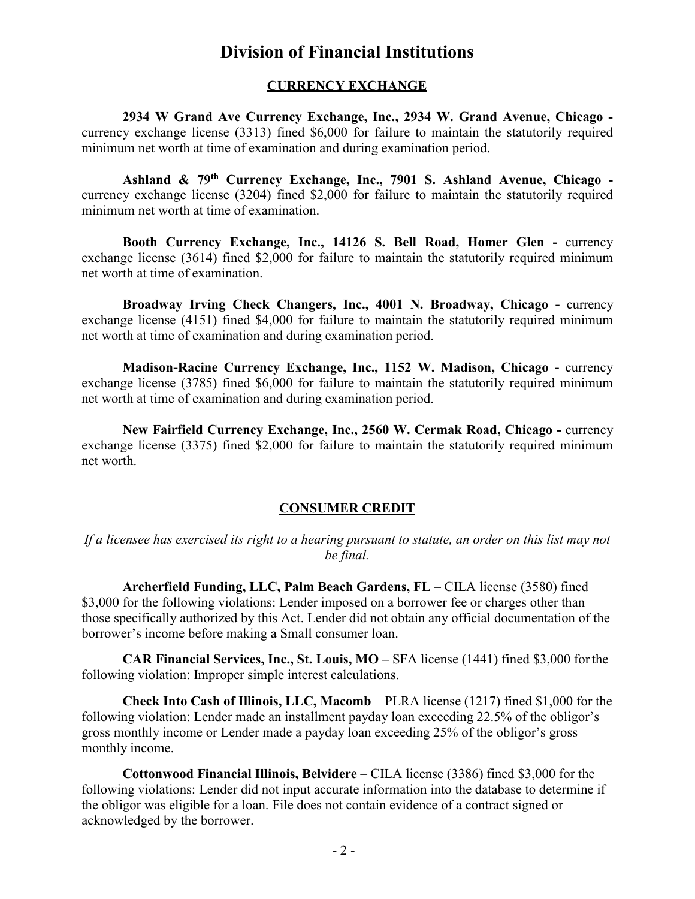# **Division of Financial Institutions**

#### **CURRENCY EXCHANGE**

**2934 W Grand Ave Currency Exchange, Inc., 2934 W. Grand Avenue, Chicago**  currency exchange license (3313) fined \$6,000 for failure to maintain the statutorily required minimum net worth at time of examination and during examination period.

**Ashland & 79th Currency Exchange, Inc., 7901 S. Ashland Avenue, Chicago**  currency exchange license (3204) fined \$2,000 for failure to maintain the statutorily required minimum net worth at time of examination.

**Booth Currency Exchange, Inc., 14126 S. Bell Road, Homer Glen -** currency exchange license (3614) fined \$2,000 for failure to maintain the statutorily required minimum net worth at time of examination.

**Broadway Irving Check Changers, Inc., 4001 N. Broadway, Chicago -** currency exchange license (4151) fined \$4,000 for failure to maintain the statutorily required minimum net worth at time of examination and during examination period.

**Madison-Racine Currency Exchange, Inc., 1152 W. Madison, Chicago -** currency exchange license (3785) fined \$6,000 for failure to maintain the statutorily required minimum net worth at time of examination and during examination period.

**New Fairfield Currency Exchange, Inc., 2560 W. Cermak Road, Chicago -** currency exchange license (3375) fined \$2,000 for failure to maintain the statutorily required minimum net worth.

# **CONSUMER CREDIT**

*If a licensee has exercised its right to a hearing pursuant to statute, an order on this list may not be final.*

**Archerfield Funding, LLC, Palm Beach Gardens, FL** – CILA license (3580) fined \$3,000 for the following violations: Lender imposed on a borrower fee or charges other than those specifically authorized by this Act. Lender did not obtain any official documentation of the borrower's income before making a Small consumer loan.

**CAR Financial Services, Inc., St. Louis, MO –** SFA license (1441) fined \$3,000 forthe following violation: Improper simple interest calculations.

**Check Into Cash of Illinois, LLC, Macomb** – PLRA license (1217) fined \$1,000 for the following violation: Lender made an installment payday loan exceeding 22.5% of the obligor's gross monthly income or Lender made a payday loan exceeding 25% of the obligor's gross monthly income.

**Cottonwood Financial Illinois, Belvidere** – CILA license (3386) fined \$3,000 for the following violations: Lender did not input accurate information into the database to determine if the obligor was eligible for a loan. File does not contain evidence of a contract signed or acknowledged by the borrower.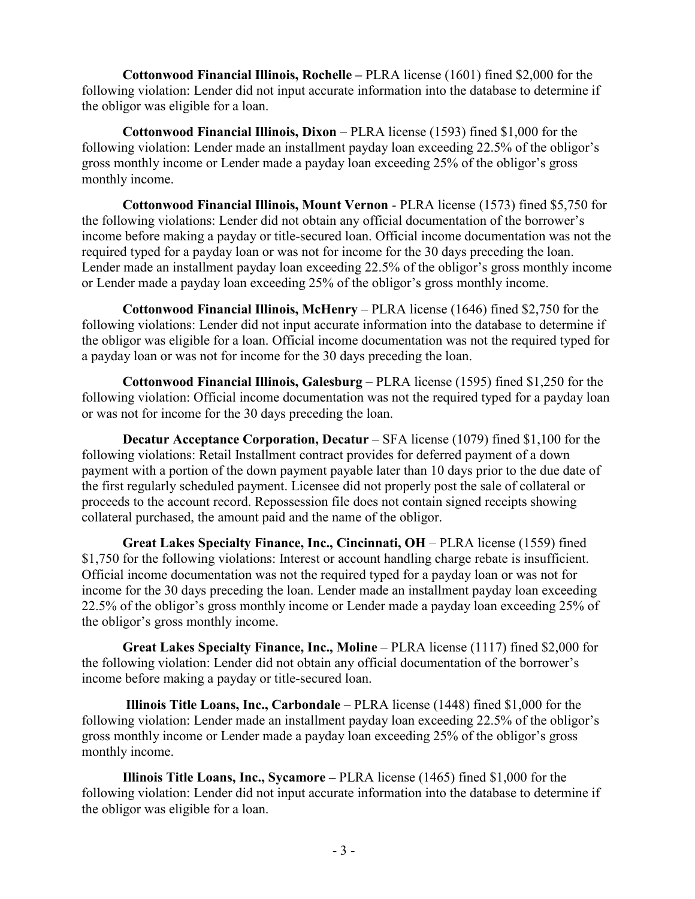**Cottonwood Financial Illinois, Rochelle –** PLRA license (1601) fined \$2,000 for the following violation: Lender did not input accurate information into the database to determine if the obligor was eligible for a loan.

**Cottonwood Financial Illinois, Dixon** – PLRA license (1593) fined \$1,000 for the following violation: Lender made an installment payday loan exceeding 22.5% of the obligor's gross monthly income or Lender made a payday loan exceeding 25% of the obligor's gross monthly income.

**Cottonwood Financial Illinois, Mount Vernon** - PLRA license (1573) fined \$5,750 for the following violations: Lender did not obtain any official documentation of the borrower's income before making a payday or title-secured loan. Official income documentation was not the required typed for a payday loan or was not for income for the 30 days preceding the loan. Lender made an installment payday loan exceeding 22.5% of the obligor's gross monthly income or Lender made a payday loan exceeding 25% of the obligor's gross monthly income.

**Cottonwood Financial Illinois, McHenry** – PLRA license (1646) fined \$2,750 for the following violations: Lender did not input accurate information into the database to determine if the obligor was eligible for a loan. Official income documentation was not the required typed for a payday loan or was not for income for the 30 days preceding the loan.

**Cottonwood Financial Illinois, Galesburg** – PLRA license (1595) fined \$1,250 for the following violation: Official income documentation was not the required typed for a payday loan or was not for income for the 30 days preceding the loan.

**Decatur Acceptance Corporation, Decatur** – SFA license (1079) fined \$1,100 for the following violations: Retail Installment contract provides for deferred payment of a down payment with a portion of the down payment payable later than 10 days prior to the due date of the first regularly scheduled payment. Licensee did not properly post the sale of collateral or proceeds to the account record. Repossession file does not contain signed receipts showing collateral purchased, the amount paid and the name of the obligor.

**Great Lakes Specialty Finance, Inc., Cincinnati, OH** – PLRA license (1559) fined \$1,750 for the following violations: Interest or account handling charge rebate is insufficient. Official income documentation was not the required typed for a payday loan or was not for income for the 30 days preceding the loan. Lender made an installment payday loan exceeding 22.5% of the obligor's gross monthly income or Lender made a payday loan exceeding 25% of the obligor's gross monthly income.

**Great Lakes Specialty Finance, Inc., Moline** – PLRA license (1117) fined \$2,000 for the following violation: Lender did not obtain any official documentation of the borrower's income before making a payday or title-secured loan.

**Illinois Title Loans, Inc., Carbondale** – PLRA license (1448) fined \$1,000 for the following violation: Lender made an installment payday loan exceeding 22.5% of the obligor's gross monthly income or Lender made a payday loan exceeding 25% of the obligor's gross monthly income.

**Illinois Title Loans, Inc., Sycamore –** PLRA license (1465) fined \$1,000 for the following violation: Lender did not input accurate information into the database to determine if the obligor was eligible for a loan.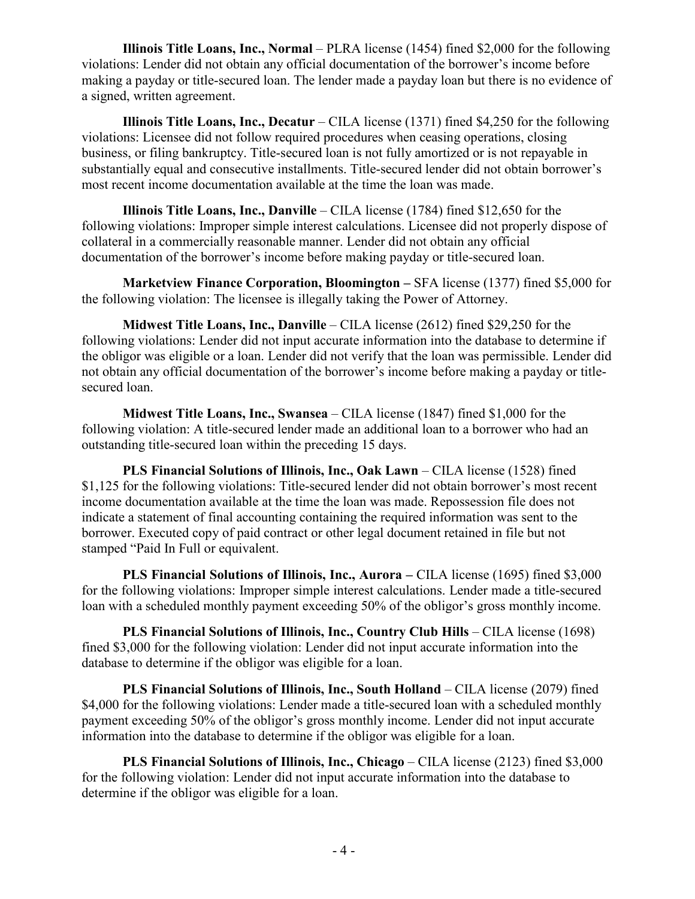**Illinois Title Loans, Inc., Normal** – PLRA license (1454) fined \$2,000 for the following violations: Lender did not obtain any official documentation of the borrower's income before making a payday or title-secured loan. The lender made a payday loan but there is no evidence of a signed, written agreement.

**Illinois Title Loans, Inc., Decatur** – CILA license (1371) fined \$4,250 for the following violations: Licensee did not follow required procedures when ceasing operations, closing business, or filing bankruptcy. Title-secured loan is not fully amortized or is not repayable in substantially equal and consecutive installments. Title-secured lender did not obtain borrower's most recent income documentation available at the time the loan was made.

**Illinois Title Loans, Inc., Danville** – CILA license (1784) fined \$12,650 for the following violations: Improper simple interest calculations. Licensee did not properly dispose of collateral in a commercially reasonable manner. Lender did not obtain any official documentation of the borrower's income before making payday or title-secured loan.

**Marketview Finance Corporation, Bloomington –** SFA license (1377) fined \$5,000 for the following violation: The licensee is illegally taking the Power of Attorney.

**Midwest Title Loans, Inc., Danville** – CILA license (2612) fined \$29,250 for the following violations: Lender did not input accurate information into the database to determine if the obligor was eligible or a loan. Lender did not verify that the loan was permissible. Lender did not obtain any official documentation of the borrower's income before making a payday or titlesecured loan.

**Midwest Title Loans, Inc., Swansea** – CILA license (1847) fined \$1,000 for the following violation: A title-secured lender made an additional loan to a borrower who had an outstanding title-secured loan within the preceding 15 days.

**PLS Financial Solutions of Illinois, Inc., Oak Lawn** – CILA license (1528) fined \$1,125 for the following violations: Title-secured lender did not obtain borrower's most recent income documentation available at the time the loan was made. Repossession file does not indicate a statement of final accounting containing the required information was sent to the borrower. Executed copy of paid contract or other legal document retained in file but not stamped "Paid In Full or equivalent.

**PLS Financial Solutions of Illinois, Inc., Aurora –** CILA license (1695) fined \$3,000 for the following violations: Improper simple interest calculations. Lender made a title-secured loan with a scheduled monthly payment exceeding 50% of the obligor's gross monthly income.

**PLS Financial Solutions of Illinois, Inc., Country Club Hills** – CILA license (1698) fined \$3,000 for the following violation: Lender did not input accurate information into the database to determine if the obligor was eligible for a loan.

**PLS Financial Solutions of Illinois, Inc., South Holland** – CILA license (2079) fined \$4,000 for the following violations: Lender made a title-secured loan with a scheduled monthly payment exceeding 50% of the obligor's gross monthly income. Lender did not input accurate information into the database to determine if the obligor was eligible for a loan.

**PLS Financial Solutions of Illinois, Inc., Chicago** – CILA license (2123) fined \$3,000 for the following violation: Lender did not input accurate information into the database to determine if the obligor was eligible for a loan.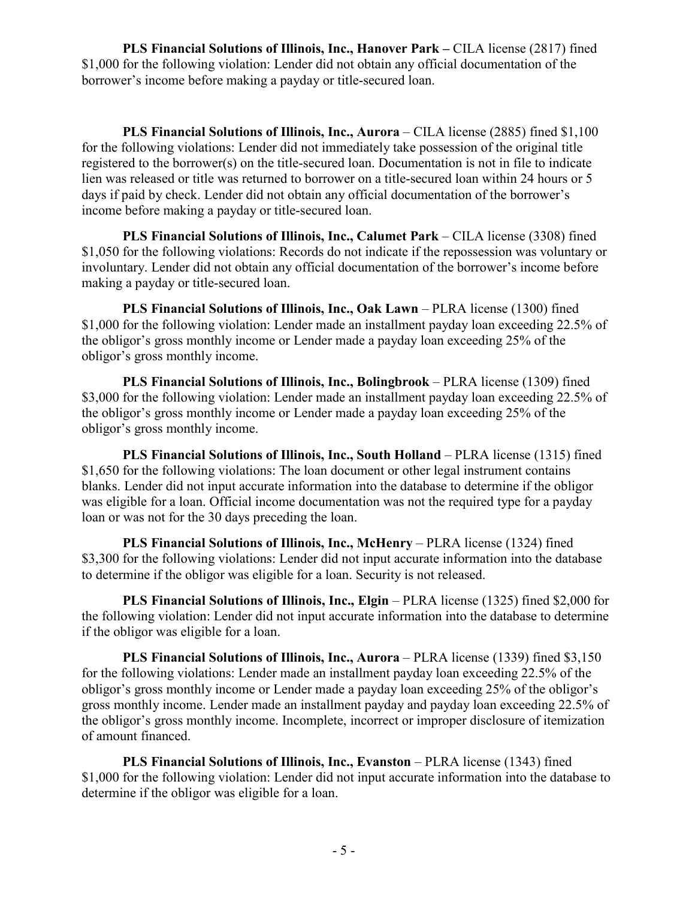**PLS Financial Solutions of Illinois, Inc., Hanover Park –** CILA license (2817) fined \$1,000 for the following violation: Lender did not obtain any official documentation of the borrower's income before making a payday or title-secured loan.

**PLS Financial Solutions of Illinois, Inc., Aurora** – CILA license (2885) fined \$1,100 for the following violations: Lender did not immediately take possession of the original title registered to the borrower(s) on the title-secured loan. Documentation is not in file to indicate lien was released or title was returned to borrower on a title-secured loan within 24 hours or 5 days if paid by check. Lender did not obtain any official documentation of the borrower's income before making a payday or title-secured loan.

**PLS Financial Solutions of Illinois, Inc., Calumet Park** – CILA license (3308) fined \$1,050 for the following violations: Records do not indicate if the repossession was voluntary or involuntary. Lender did not obtain any official documentation of the borrower's income before making a payday or title-secured loan.

**PLS Financial Solutions of Illinois, Inc., Oak Lawn** – PLRA license (1300) fined \$1,000 for the following violation: Lender made an installment payday loan exceeding 22.5% of the obligor's gross monthly income or Lender made a payday loan exceeding 25% of the obligor's gross monthly income.

**PLS Financial Solutions of Illinois, Inc., Bolingbrook** – PLRA license (1309) fined \$3,000 for the following violation: Lender made an installment payday loan exceeding 22.5% of the obligor's gross monthly income or Lender made a payday loan exceeding 25% of the obligor's gross monthly income.

**PLS Financial Solutions of Illinois, Inc., South Holland** – PLRA license (1315) fined \$1,650 for the following violations: The loan document or other legal instrument contains blanks. Lender did not input accurate information into the database to determine if the obligor was eligible for a loan. Official income documentation was not the required type for a payday loan or was not for the 30 days preceding the loan.

**PLS Financial Solutions of Illinois, Inc., McHenry** – PLRA license (1324) fined \$3,300 for the following violations: Lender did not input accurate information into the database to determine if the obligor was eligible for a loan. Security is not released.

**PLS Financial Solutions of Illinois, Inc., Elgin** – PLRA license (1325) fined \$2,000 for the following violation: Lender did not input accurate information into the database to determine if the obligor was eligible for a loan.

**PLS Financial Solutions of Illinois, Inc., Aurora** – PLRA license (1339) fined \$3,150 for the following violations: Lender made an installment payday loan exceeding 22.5% of the obligor's gross monthly income or Lender made a payday loan exceeding 25% of the obligor's gross monthly income. Lender made an installment payday and payday loan exceeding 22.5% of the obligor's gross monthly income. Incomplete, incorrect or improper disclosure of itemization of amount financed.

**PLS Financial Solutions of Illinois, Inc., Evanston – PLRA license (1343) fined** \$1,000 for the following violation: Lender did not input accurate information into the database to determine if the obligor was eligible for a loan.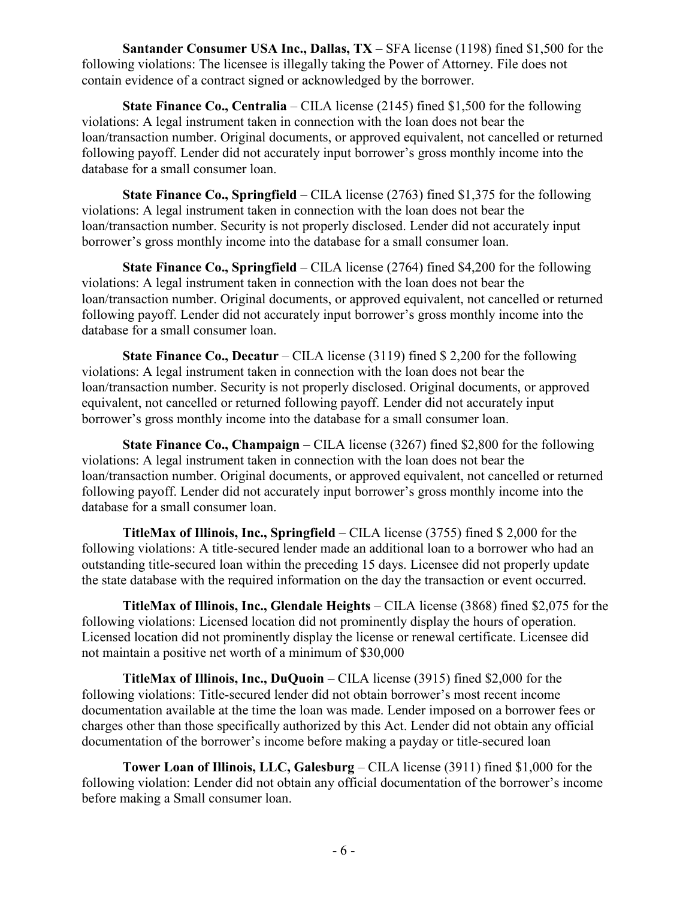**Santander Consumer USA Inc., Dallas, TX** – SFA license (1198) fined \$1,500 for the following violations: The licensee is illegally taking the Power of Attorney. File does not contain evidence of a contract signed or acknowledged by the borrower.

**State Finance Co., Centralia** – CILA license (2145) fined \$1,500 for the following violations: A legal instrument taken in connection with the loan does not bear the loan/transaction number. Original documents, or approved equivalent, not cancelled or returned following payoff. Lender did not accurately input borrower's gross monthly income into the database for a small consumer loan.

**State Finance Co., Springfield** – CILA license (2763) fined \$1,375 for the following violations: A legal instrument taken in connection with the loan does not bear the loan/transaction number. Security is not properly disclosed. Lender did not accurately input borrower's gross monthly income into the database for a small consumer loan.

**State Finance Co., Springfield** – CILA license (2764) fined \$4,200 for the following violations: A legal instrument taken in connection with the loan does not bear the loan/transaction number. Original documents, or approved equivalent, not cancelled or returned following payoff. Lender did not accurately input borrower's gross monthly income into the database for a small consumer loan.

**State Finance Co., Decatur** – CILA license (3119) fined \$ 2,200 for the following violations: A legal instrument taken in connection with the loan does not bear the loan/transaction number. Security is not properly disclosed. Original documents, or approved equivalent, not cancelled or returned following payoff. Lender did not accurately input borrower's gross monthly income into the database for a small consumer loan.

**State Finance Co., Champaign** – CILA license (3267) fined \$2,800 for the following violations: A legal instrument taken in connection with the loan does not bear the loan/transaction number. Original documents, or approved equivalent, not cancelled or returned following payoff. Lender did not accurately input borrower's gross monthly income into the database for a small consumer loan.

**TitleMax of Illinois, Inc., Springfield** – CILA license (3755) fined \$ 2,000 for the following violations: A title-secured lender made an additional loan to a borrower who had an outstanding title-secured loan within the preceding 15 days. Licensee did not properly update the state database with the required information on the day the transaction or event occurred.

**TitleMax of Illinois, Inc., Glendale Heights** – CILA license (3868) fined \$2,075 for the following violations: Licensed location did not prominently display the hours of operation. Licensed location did not prominently display the license or renewal certificate. Licensee did not maintain a positive net worth of a minimum of \$30,000

**TitleMax of Illinois, Inc., DuQuoin** – CILA license (3915) fined \$2,000 for the following violations: Title-secured lender did not obtain borrower's most recent income documentation available at the time the loan was made. Lender imposed on a borrower fees or charges other than those specifically authorized by this Act. Lender did not obtain any official documentation of the borrower's income before making a payday or title-secured loan

**Tower Loan of Illinois, LLC, Galesburg** – CILA license (3911) fined \$1,000 for the following violation: Lender did not obtain any official documentation of the borrower's income before making a Small consumer loan.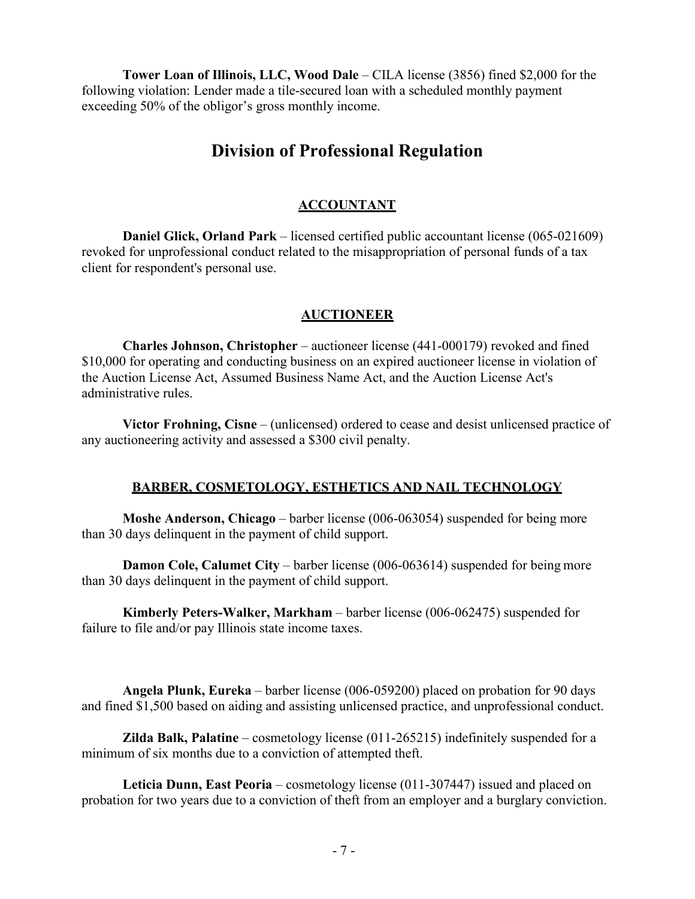**Tower Loan of Illinois, LLC, Wood Dale** – CILA license (3856) fined \$2,000 for the following violation: Lender made a tile-secured loan with a scheduled monthly payment exceeding 50% of the obligor's gross monthly income.

# **Division of Professional Regulation**

# **ACCOUNTANT**

**Daniel Glick, Orland Park** – licensed certified public accountant license (065-021609) revoked for unprofessional conduct related to the misappropriation of personal funds of a tax client for respondent's personal use.

#### **AUCTIONEER**

**Charles Johnson, Christopher** – auctioneer license (441-000179) revoked and fined \$10,000 for operating and conducting business on an expired auctioneer license in violation of the Auction License Act, Assumed Business Name Act, and the Auction License Act's administrative rules.

**Victor Frohning, Cisne** – (unlicensed) ordered to cease and desist unlicensed practice of any auctioneering activity and assessed a \$300 civil penalty.

# **BARBER, COSMETOLOGY, ESTHETICS AND NAIL TECHNOLOGY**

**Moshe Anderson, Chicago** – barber license (006-063054) suspended for being more than 30 days delinquent in the payment of child support.

**Damon Cole, Calumet City** – barber license (006-063614) suspended for being more than 30 days delinquent in the payment of child support.

**Kimberly Peters-Walker, Markham** – barber license (006-062475) suspended for failure to file and/or pay Illinois state income taxes.

**Angela Plunk, Eureka** – barber license (006-059200) placed on probation for 90 days and fined \$1,500 based on aiding and assisting unlicensed practice, and unprofessional conduct.

**Zilda Balk, Palatine** – cosmetology license (011-265215) indefinitely suspended for a minimum of six months due to a conviction of attempted theft.

**Leticia Dunn, East Peoria** – cosmetology license (011-307447) issued and placed on probation for two years due to a conviction of theft from an employer and a burglary conviction.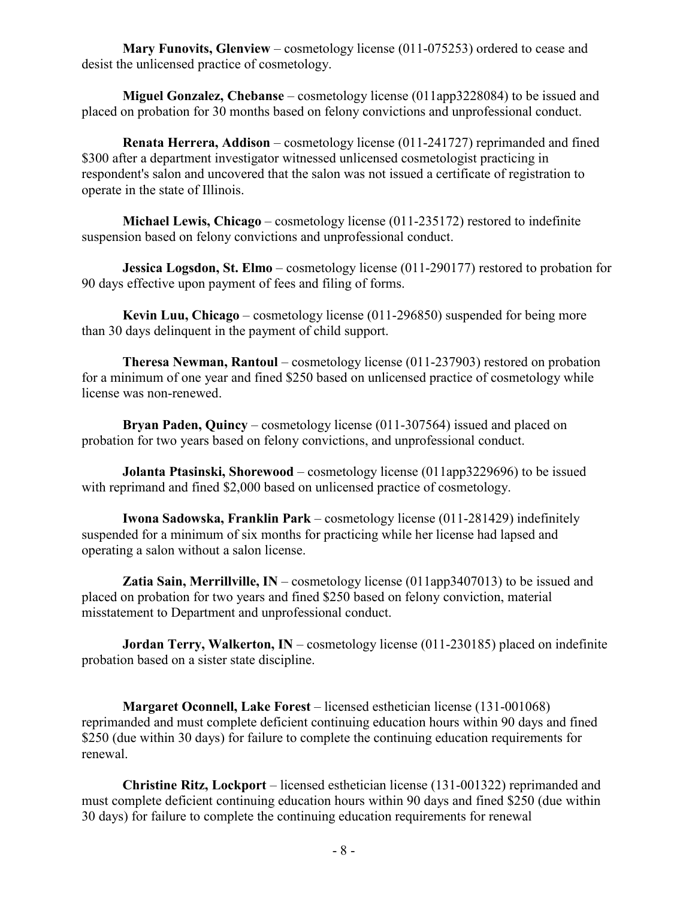**Mary Funovits, Glenview** – cosmetology license (011-075253) ordered to cease and desist the unlicensed practice of cosmetology.

**Miguel Gonzalez, Chebanse** – cosmetology license (011app3228084) to be issued and placed on probation for 30 months based on felony convictions and unprofessional conduct.

**Renata Herrera, Addison** – cosmetology license (011-241727) reprimanded and fined \$300 after a department investigator witnessed unlicensed cosmetologist practicing in respondent's salon and uncovered that the salon was not issued a certificate of registration to operate in the state of Illinois.

**Michael Lewis, Chicago** – cosmetology license (011-235172) restored to indefinite suspension based on felony convictions and unprofessional conduct.

**Jessica Logsdon, St. Elmo** – cosmetology license (011-290177) restored to probation for 90 days effective upon payment of fees and filing of forms.

**Kevin Luu, Chicago** – cosmetology license (011-296850) suspended for being more than 30 days delinquent in the payment of child support.

**Theresa Newman, Rantoul** – cosmetology license (011-237903) restored on probation for a minimum of one year and fined \$250 based on unlicensed practice of cosmetology while license was non-renewed.

**Bryan Paden, Quincy** – cosmetology license (011-307564) issued and placed on probation for two years based on felony convictions, and unprofessional conduct.

**Jolanta Ptasinski, Shorewood** – cosmetology license (011app3229696) to be issued with reprimand and fined \$2,000 based on unlicensed practice of cosmetology.

**Iwona Sadowska, Franklin Park** – cosmetology license (011-281429) indefinitely suspended for a minimum of six months for practicing while her license had lapsed and operating a salon without a salon license.

**Zatia Sain, Merrillville, IN** – cosmetology license (011app3407013) to be issued and placed on probation for two years and fined \$250 based on felony conviction, material misstatement to Department and unprofessional conduct.

**Jordan Terry, Walkerton, IN** – cosmetology license (011-230185) placed on indefinite probation based on a sister state discipline.

**Margaret Oconnell, Lake Forest** – licensed esthetician license (131-001068) reprimanded and must complete deficient continuing education hours within 90 days and fined \$250 (due within 30 days) for failure to complete the continuing education requirements for renewal.

**Christine Ritz, Lockport** – licensed esthetician license (131-001322) reprimanded and must complete deficient continuing education hours within 90 days and fined \$250 (due within 30 days) for failure to complete the continuing education requirements for renewal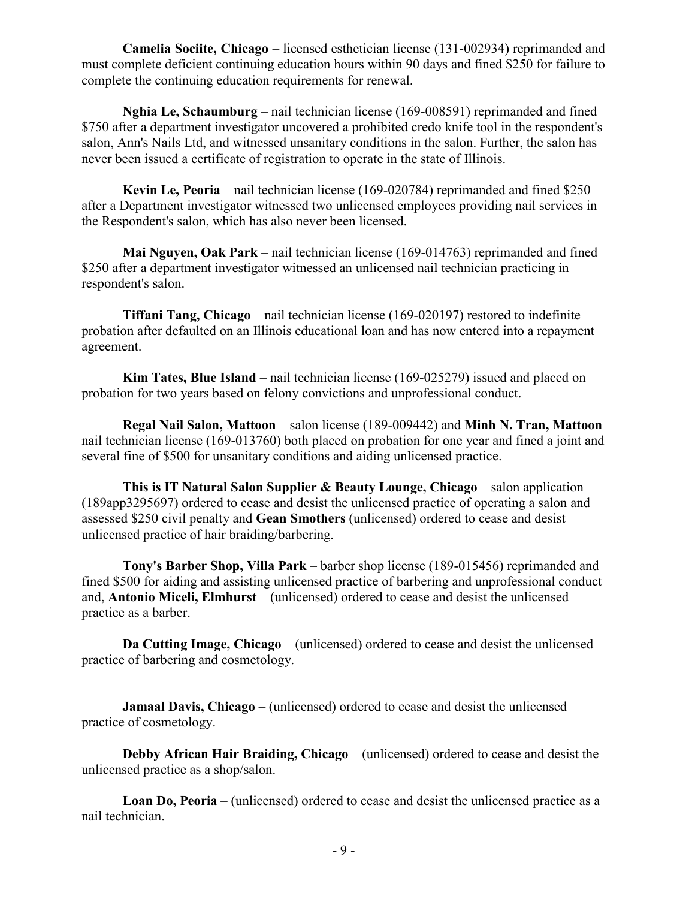**Camelia Sociite, Chicago** – licensed esthetician license (131-002934) reprimanded and must complete deficient continuing education hours within 90 days and fined \$250 for failure to complete the continuing education requirements for renewal.

**Nghia Le, Schaumburg** – nail technician license (169-008591) reprimanded and fined \$750 after a department investigator uncovered a prohibited credo knife tool in the respondent's salon, Ann's Nails Ltd, and witnessed unsanitary conditions in the salon. Further, the salon has never been issued a certificate of registration to operate in the state of Illinois.

**Kevin Le, Peoria** – nail technician license (169-020784) reprimanded and fined \$250 after a Department investigator witnessed two unlicensed employees providing nail services in the Respondent's salon, which has also never been licensed.

**Mai Nguyen, Oak Park** – nail technician license (169-014763) reprimanded and fined \$250 after a department investigator witnessed an unlicensed nail technician practicing in respondent's salon.

**Tiffani Tang, Chicago** – nail technician license (169-020197) restored to indefinite probation after defaulted on an Illinois educational loan and has now entered into a repayment agreement.

**Kim Tates, Blue Island** – nail technician license (169-025279) issued and placed on probation for two years based on felony convictions and unprofessional conduct.

**Regal Nail Salon, Mattoon** – salon license (189-009442) and **Minh N. Tran, Mattoon** – nail technician license (169-013760) both placed on probation for one year and fined a joint and several fine of \$500 for unsanitary conditions and aiding unlicensed practice.

**This is IT Natural Salon Supplier & Beauty Lounge, Chicago** – salon application (189app3295697) ordered to cease and desist the unlicensed practice of operating a salon and assessed \$250 civil penalty and **Gean Smothers** (unlicensed) ordered to cease and desist unlicensed practice of hair braiding/barbering.

**Tony's Barber Shop, Villa Park** – barber shop license (189-015456) reprimanded and fined \$500 for aiding and assisting unlicensed practice of barbering and unprofessional conduct and, **Antonio Miceli, Elmhurst** – (unlicensed) ordered to cease and desist the unlicensed practice as a barber.

**Da Cutting Image, Chicago** – (unlicensed) ordered to cease and desist the unlicensed practice of barbering and cosmetology.

**Jamaal Davis, Chicago** – (unlicensed) ordered to cease and desist the unlicensed practice of cosmetology.

**Debby African Hair Braiding, Chicago** – (unlicensed) ordered to cease and desist the unlicensed practice as a shop/salon.

**Loan Do, Peoria** – (unlicensed) ordered to cease and desist the unlicensed practice as a nail technician.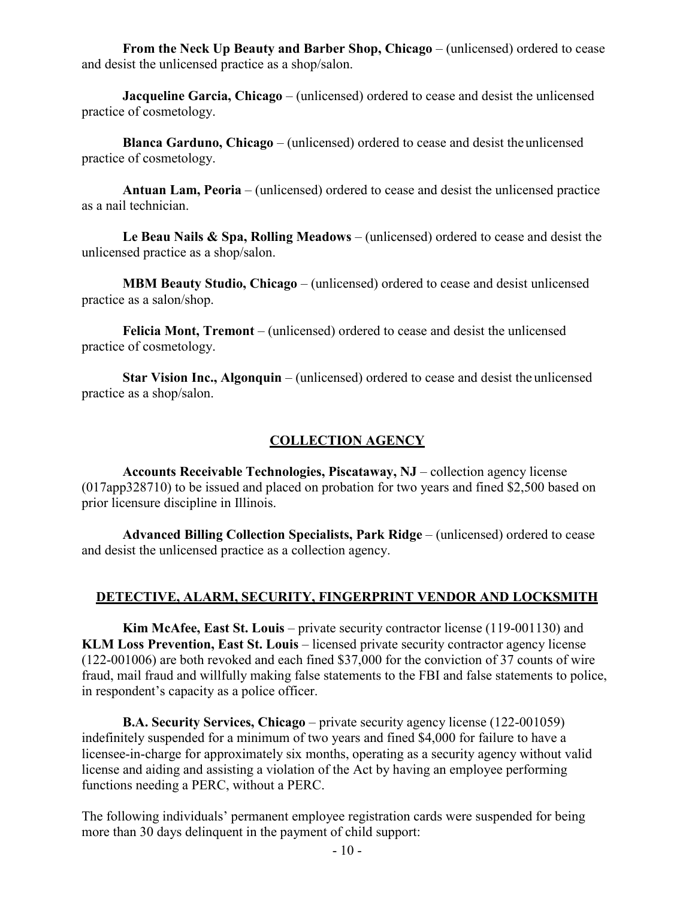**From the Neck Up Beauty and Barber Shop, Chicago** – (unlicensed) ordered to cease and desist the unlicensed practice as a shop/salon.

**Jacqueline Garcia, Chicago** – (unlicensed) ordered to cease and desist the unlicensed practice of cosmetology.

**Blanca Garduno, Chicago** – (unlicensed) ordered to cease and desist theunlicensed practice of cosmetology.

**Antuan Lam, Peoria** – (unlicensed) ordered to cease and desist the unlicensed practice as a nail technician.

**Le Beau Nails & Spa, Rolling Meadows** – (unlicensed) ordered to cease and desist the unlicensed practice as a shop/salon.

**MBM Beauty Studio, Chicago** – (unlicensed) ordered to cease and desist unlicensed practice as a salon/shop.

**Felicia Mont, Tremont** – (unlicensed) ordered to cease and desist the unlicensed practice of cosmetology.

**Star Vision Inc., Algonquin** – (unlicensed) ordered to cease and desist the unlicensed practice as a shop/salon.

# **COLLECTION AGENCY**

**Accounts Receivable Technologies, Piscataway, NJ** – collection agency license (017app328710) to be issued and placed on probation for two years and fined \$2,500 based on prior licensure discipline in Illinois.

**Advanced Billing Collection Specialists, Park Ridge** – (unlicensed) ordered to cease and desist the unlicensed practice as a collection agency.

# **DETECTIVE, ALARM, SECURITY, FINGERPRINT VENDOR AND LOCKSMITH**

**Kim McAfee, East St. Louis** – private security contractor license (119-001130) and **KLM Loss Prevention, East St. Louis** – licensed private security contractor agency license (122-001006) are both revoked and each fined \$37,000 for the conviction of 37 counts of wire fraud, mail fraud and willfully making false statements to the FBI and false statements to police, in respondent's capacity as a police officer.

**B.A. Security Services, Chicago** – private security agency license (122-001059) indefinitely suspended for a minimum of two years and fined \$4,000 for failure to have a licensee-in-charge for approximately six months, operating as a security agency without valid license and aiding and assisting a violation of the Act by having an employee performing functions needing a PERC, without a PERC.

The following individuals' permanent employee registration cards were suspended for being more than 30 days delinquent in the payment of child support: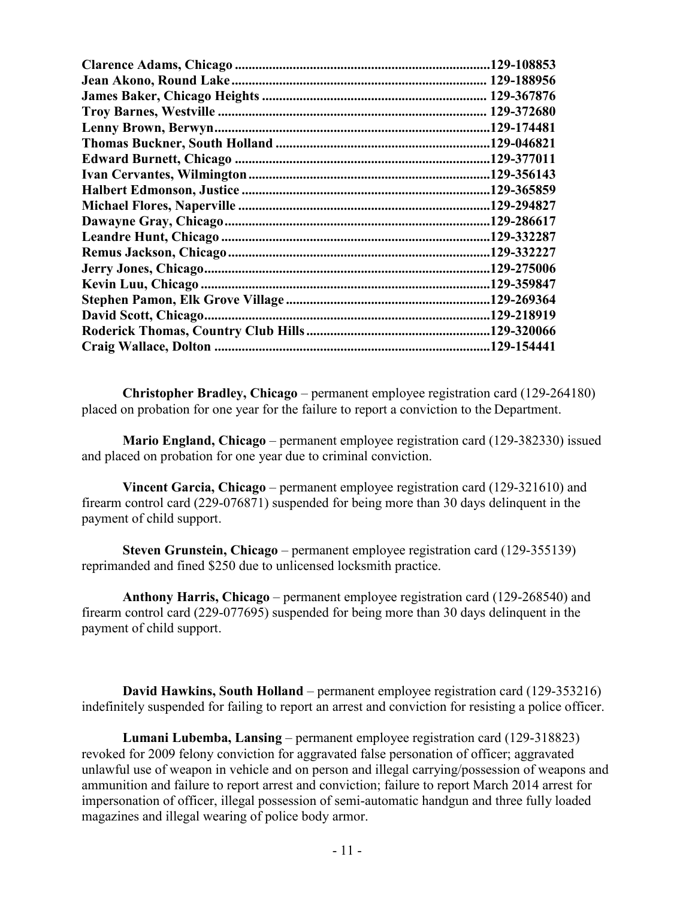| 129-108853  |
|-------------|
|             |
|             |
|             |
|             |
|             |
|             |
|             |
|             |
|             |
|             |
|             |
|             |
| .129-275006 |
| .129-359847 |
|             |
| .129-218919 |
|             |
| .129-154441 |

**Christopher Bradley, Chicago** – permanent employee registration card (129-264180) placed on probation for one year for the failure to report a conviction to the Department.

**Mario England, Chicago** – permanent employee registration card (129-382330) issued and placed on probation for one year due to criminal conviction.

**Vincent Garcia, Chicago** – permanent employee registration card (129-321610) and firearm control card (229-076871) suspended for being more than 30 days delinquent in the payment of child support.

**Steven Grunstein, Chicago** – permanent employee registration card (129-355139) reprimanded and fined \$250 due to unlicensed locksmith practice.

**Anthony Harris, Chicago** – permanent employee registration card (129-268540) and firearm control card (229-077695) suspended for being more than 30 days delinquent in the payment of child support.

**David Hawkins, South Holland** – permanent employee registration card (129-353216) indefinitely suspended for failing to report an arrest and conviction for resisting a police officer.

**Lumani Lubemba, Lansing** – permanent employee registration card (129-318823) revoked for 2009 felony conviction for aggravated false personation of officer; aggravated unlawful use of weapon in vehicle and on person and illegal carrying/possession of weapons and ammunition and failure to report arrest and conviction; failure to report March 2014 arrest for impersonation of officer, illegal possession of semi-automatic handgun and three fully loaded magazines and illegal wearing of police body armor.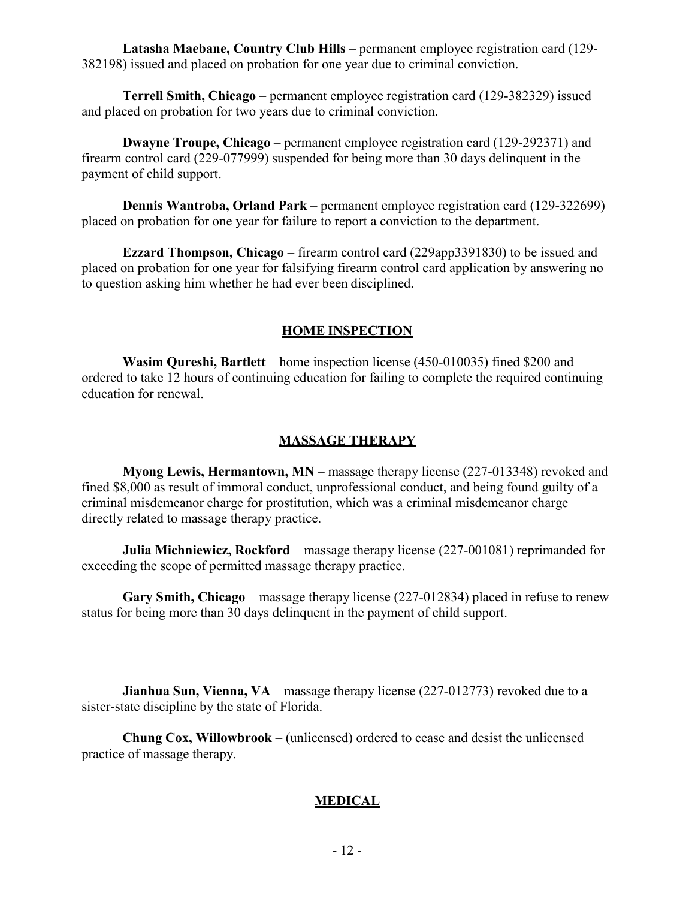**Latasha Maebane, Country Club Hills** – permanent employee registration card (129- 382198) issued and placed on probation for one year due to criminal conviction.

**Terrell Smith, Chicago** – permanent employee registration card (129-382329) issued and placed on probation for two years due to criminal conviction.

**Dwayne Troupe, Chicago** – permanent employee registration card (129-292371) and firearm control card (229-077999) suspended for being more than 30 days delinquent in the payment of child support.

**Dennis Wantroba, Orland Park** – permanent employee registration card (129-322699) placed on probation for one year for failure to report a conviction to the department.

**Ezzard Thompson, Chicago** – firearm control card (229app3391830) to be issued and placed on probation for one year for falsifying firearm control card application by answering no to question asking him whether he had ever been disciplined.

# **HOME INSPECTION**

**Wasim Qureshi, Bartlett** – home inspection license (450-010035) fined \$200 and ordered to take 12 hours of continuing education for failing to complete the required continuing education for renewal.

#### **MASSAGE THERAPY**

**Myong Lewis, Hermantown, MN** – massage therapy license (227-013348) revoked and fined \$8,000 as result of immoral conduct, unprofessional conduct, and being found guilty of a criminal misdemeanor charge for prostitution, which was a criminal misdemeanor charge directly related to massage therapy practice.

**Julia Michniewicz, Rockford** – massage therapy license (227-001081) reprimanded for exceeding the scope of permitted massage therapy practice.

**Gary Smith, Chicago** – massage therapy license (227-012834) placed in refuse to renew status for being more than 30 days delinquent in the payment of child support.

**Jianhua Sun, Vienna, VA** – massage therapy license (227-012773) revoked due to a sister-state discipline by the state of Florida.

**Chung Cox, Willowbrook** – (unlicensed) ordered to cease and desist the unlicensed practice of massage therapy.

# **MEDICAL**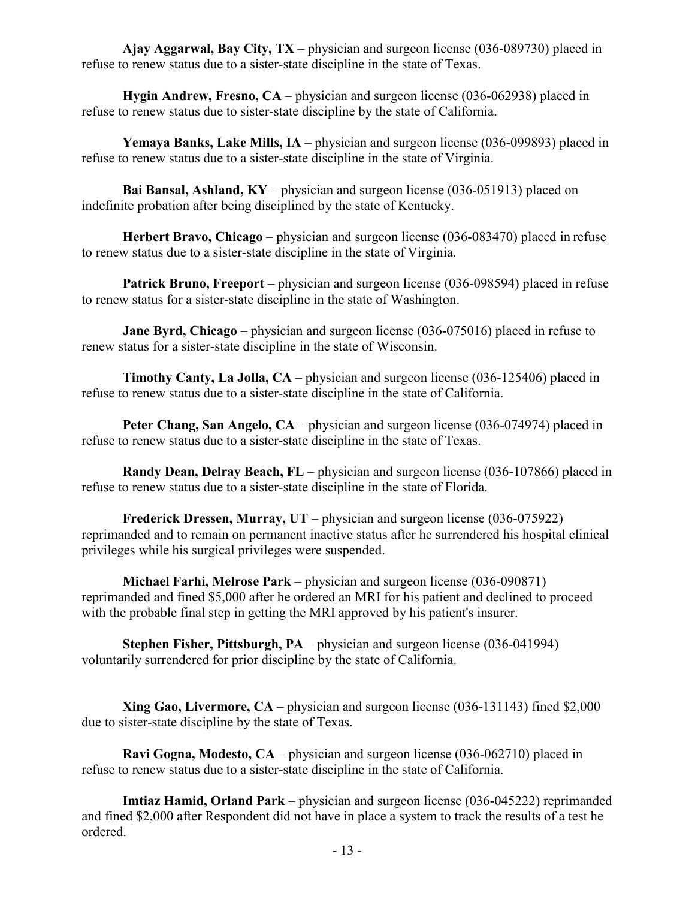**Ajay Aggarwal, Bay City, TX** – physician and surgeon license (036-089730) placed in refuse to renew status due to a sister-state discipline in the state of Texas.

**Hygin Andrew, Fresno, CA** – physician and surgeon license (036-062938) placed in refuse to renew status due to sister-state discipline by the state of California.

**Yemaya Banks, Lake Mills, IA** – physician and surgeon license (036-099893) placed in refuse to renew status due to a sister-state discipline in the state of Virginia.

**Bai Bansal, Ashland, KY** – physician and surgeon license (036-051913) placed on indefinite probation after being disciplined by the state of Kentucky.

**Herbert Bravo, Chicago** – physician and surgeon license (036-083470) placed in refuse to renew status due to a sister-state discipline in the state of Virginia.

**Patrick Bruno, Freeport** – physician and surgeon license (036-098594) placed in refuse to renew status for a sister-state discipline in the state of Washington.

**Jane Byrd, Chicago** – physician and surgeon license (036-075016) placed in refuse to renew status for a sister-state discipline in the state of Wisconsin.

**Timothy Canty, La Jolla, CA** – physician and surgeon license (036-125406) placed in refuse to renew status due to a sister-state discipline in the state of California.

**Peter Chang, San Angelo, CA** – physician and surgeon license (036-074974) placed in refuse to renew status due to a sister-state discipline in the state of Texas.

**Randy Dean, Delray Beach, FL** – physician and surgeon license (036-107866) placed in refuse to renew status due to a sister-state discipline in the state of Florida.

**Frederick Dressen, Murray, UT** – physician and surgeon license (036-075922) reprimanded and to remain on permanent inactive status after he surrendered his hospital clinical privileges while his surgical privileges were suspended.

**Michael Farhi, Melrose Park** – physician and surgeon license (036-090871) reprimanded and fined \$5,000 after he ordered an MRI for his patient and declined to proceed with the probable final step in getting the MRI approved by his patient's insurer.

**Stephen Fisher, Pittsburgh, PA** – physician and surgeon license (036-041994) voluntarily surrendered for prior discipline by the state of California.

**Xing Gao, Livermore, CA** – physician and surgeon license (036-131143) fined \$2,000 due to sister-state discipline by the state of Texas.

**Ravi Gogna, Modesto, CA** – physician and surgeon license (036-062710) placed in refuse to renew status due to a sister-state discipline in the state of California.

**Imtiaz Hamid, Orland Park** – physician and surgeon license (036-045222) reprimanded and fined \$2,000 after Respondent did not have in place a system to track the results of a test he ordered.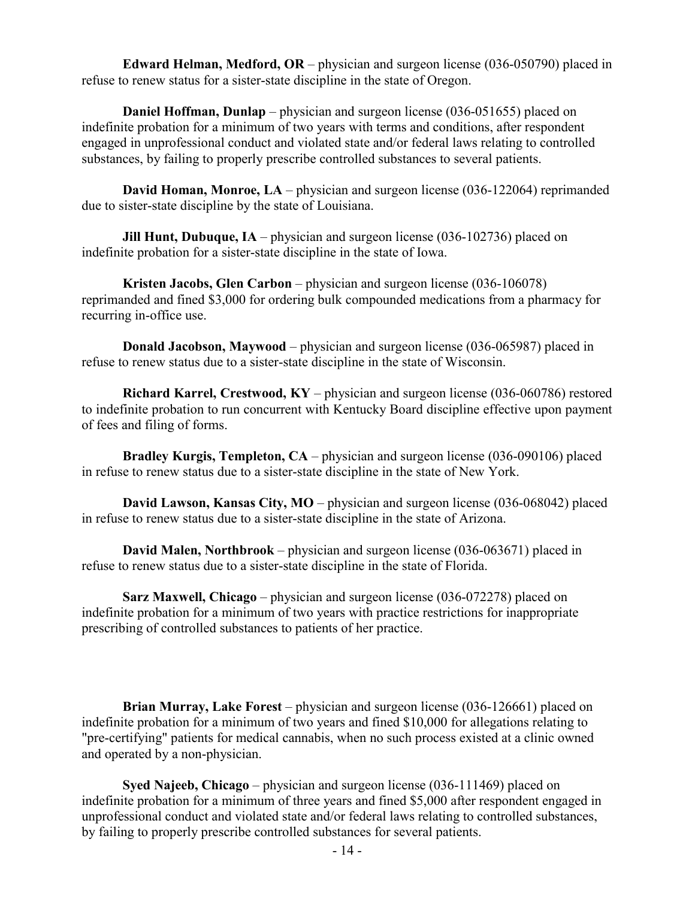**Edward Helman, Medford, OR** – physician and surgeon license (036-050790) placed in refuse to renew status for a sister-state discipline in the state of Oregon.

**Daniel Hoffman, Dunlap** – physician and surgeon license (036-051655) placed on indefinite probation for a minimum of two years with terms and conditions, after respondent engaged in unprofessional conduct and violated state and/or federal laws relating to controlled substances, by failing to properly prescribe controlled substances to several patients.

**David Homan, Monroe, LA** – physician and surgeon license (036-122064) reprimanded due to sister-state discipline by the state of Louisiana.

**Jill Hunt, Dubuque, IA** – physician and surgeon license (036-102736) placed on indefinite probation for a sister-state discipline in the state of Iowa.

**Kristen Jacobs, Glen Carbon** – physician and surgeon license (036-106078) reprimanded and fined \$3,000 for ordering bulk compounded medications from a pharmacy for recurring in-office use.

**Donald Jacobson, Maywood** – physician and surgeon license (036-065987) placed in refuse to renew status due to a sister-state discipline in the state of Wisconsin.

**Richard Karrel, Crestwood, KY** – physician and surgeon license (036-060786) restored to indefinite probation to run concurrent with Kentucky Board discipline effective upon payment of fees and filing of forms.

**Bradley Kurgis, Templeton, CA** – physician and surgeon license (036-090106) placed in refuse to renew status due to a sister-state discipline in the state of New York.

**David Lawson, Kansas City, MO** – physician and surgeon license (036-068042) placed in refuse to renew status due to a sister-state discipline in the state of Arizona.

**David Malen, Northbrook** – physician and surgeon license (036-063671) placed in refuse to renew status due to a sister-state discipline in the state of Florida.

**Sarz Maxwell, Chicago** – physician and surgeon license (036-072278) placed on indefinite probation for a minimum of two years with practice restrictions for inappropriate prescribing of controlled substances to patients of her practice.

**Brian Murray, Lake Forest** – physician and surgeon license (036-126661) placed on indefinite probation for a minimum of two years and fined \$10,000 for allegations relating to "pre-certifying" patients for medical cannabis, when no such process existed at a clinic owned and operated by a non-physician.

**Syed Najeeb, Chicago** – physician and surgeon license (036-111469) placed on indefinite probation for a minimum of three years and fined \$5,000 after respondent engaged in unprofessional conduct and violated state and/or federal laws relating to controlled substances, by failing to properly prescribe controlled substances for several patients.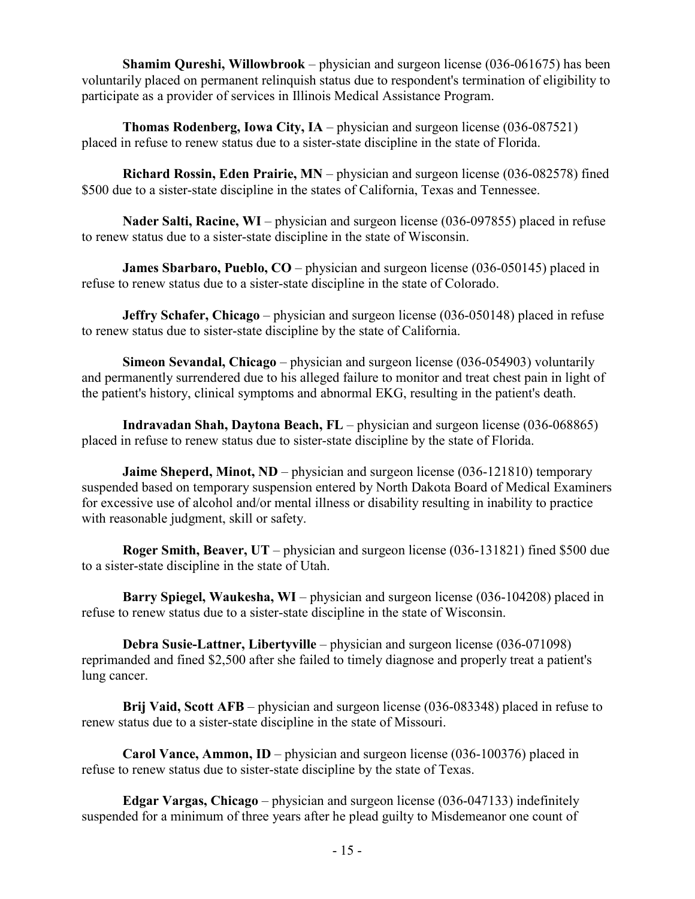**Shamim Qureshi, Willowbrook** – physician and surgeon license (036-061675) has been voluntarily placed on permanent relinquish status due to respondent's termination of eligibility to participate as a provider of services in Illinois Medical Assistance Program.

**Thomas Rodenberg, Iowa City, IA** – physician and surgeon license (036-087521) placed in refuse to renew status due to a sister-state discipline in the state of Florida.

**Richard Rossin, Eden Prairie, MN** – physician and surgeon license (036-082578) fined \$500 due to a sister-state discipline in the states of California, Texas and Tennessee.

**Nader Salti, Racine, WI** – physician and surgeon license (036-097855) placed in refuse to renew status due to a sister-state discipline in the state of Wisconsin.

**James Sbarbaro, Pueblo, CO** – physician and surgeon license (036-050145) placed in refuse to renew status due to a sister-state discipline in the state of Colorado.

**Jeffry Schafer, Chicago** – physician and surgeon license (036-050148) placed in refuse to renew status due to sister-state discipline by the state of California.

**Simeon Sevandal, Chicago** – physician and surgeon license (036-054903) voluntarily and permanently surrendered due to his alleged failure to monitor and treat chest pain in light of the patient's history, clinical symptoms and abnormal EKG, resulting in the patient's death.

**Indravadan Shah, Daytona Beach, FL** – physician and surgeon license (036-068865) placed in refuse to renew status due to sister-state discipline by the state of Florida.

**Jaime Sheperd, Minot, ND** – physician and surgeon license (036-121810) temporary suspended based on temporary suspension entered by North Dakota Board of Medical Examiners for excessive use of alcohol and/or mental illness or disability resulting in inability to practice with reasonable judgment, skill or safety.

**Roger Smith, Beaver, UT** – physician and surgeon license (036-131821) fined \$500 due to a sister-state discipline in the state of Utah.

**Barry Spiegel, Waukesha, WI** – physician and surgeon license (036-104208) placed in refuse to renew status due to a sister-state discipline in the state of Wisconsin.

**Debra Susie-Lattner, Libertyville** – physician and surgeon license (036-071098) reprimanded and fined \$2,500 after she failed to timely diagnose and properly treat a patient's lung cancer.

**Brij Vaid, Scott AFB** – physician and surgeon license (036-083348) placed in refuse to renew status due to a sister-state discipline in the state of Missouri.

**Carol Vance, Ammon, ID** – physician and surgeon license (036-100376) placed in refuse to renew status due to sister-state discipline by the state of Texas.

**Edgar Vargas, Chicago** – physician and surgeon license (036-047133) indefinitely suspended for a minimum of three years after he plead guilty to Misdemeanor one count of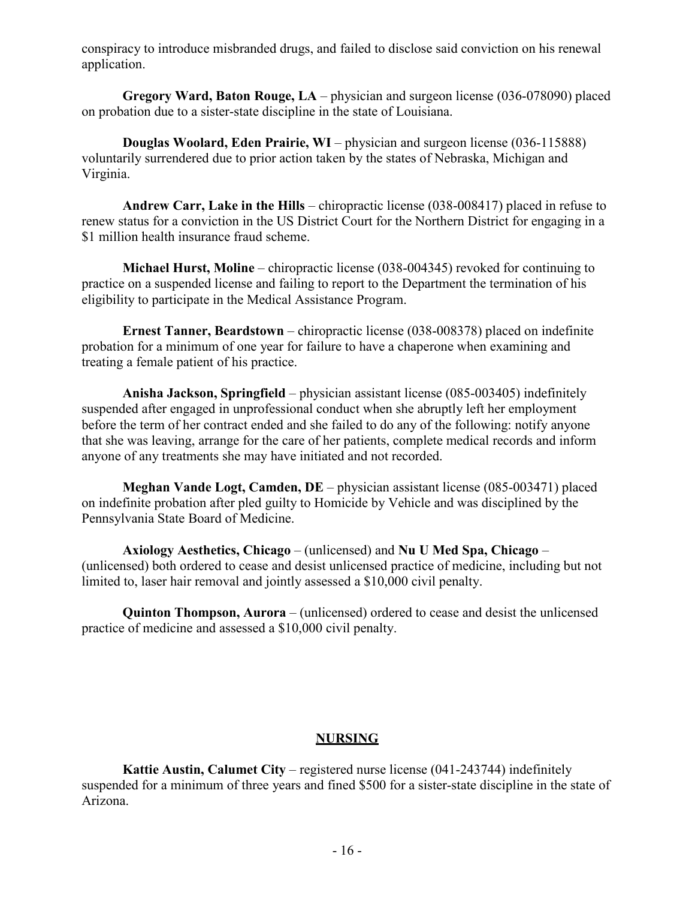conspiracy to introduce misbranded drugs, and failed to disclose said conviction on his renewal application.

**Gregory Ward, Baton Rouge, LA** – physician and surgeon license (036-078090) placed on probation due to a sister-state discipline in the state of Louisiana.

**Douglas Woolard, Eden Prairie, WI** – physician and surgeon license (036-115888) voluntarily surrendered due to prior action taken by the states of Nebraska, Michigan and Virginia.

**Andrew Carr, Lake in the Hills** – chiropractic license (038-008417) placed in refuse to renew status for a conviction in the US District Court for the Northern District for engaging in a \$1 million health insurance fraud scheme.

**Michael Hurst, Moline** – chiropractic license (038-004345) revoked for continuing to practice on a suspended license and failing to report to the Department the termination of his eligibility to participate in the Medical Assistance Program.

**Ernest Tanner, Beardstown** – chiropractic license (038-008378) placed on indefinite probation for a minimum of one year for failure to have a chaperone when examining and treating a female patient of his practice.

**Anisha Jackson, Springfield** – physician assistant license (085-003405) indefinitely suspended after engaged in unprofessional conduct when she abruptly left her employment before the term of her contract ended and she failed to do any of the following: notify anyone that she was leaving, arrange for the care of her patients, complete medical records and inform anyone of any treatments she may have initiated and not recorded.

**Meghan Vande Logt, Camden, DE** – physician assistant license (085-003471) placed on indefinite probation after pled guilty to Homicide by Vehicle and was disciplined by the Pennsylvania State Board of Medicine.

**Axiology Aesthetics, Chicago** – (unlicensed) and **Nu U Med Spa, Chicago** – (unlicensed) both ordered to cease and desist unlicensed practice of medicine, including but not limited to, laser hair removal and jointly assessed a \$10,000 civil penalty.

**Quinton Thompson, Aurora** – (unlicensed) ordered to cease and desist the unlicensed practice of medicine and assessed a \$10,000 civil penalty.

# **NURSING**

**Kattie Austin, Calumet City** – registered nurse license (041-243744) indefinitely suspended for a minimum of three years and fined \$500 for a sister-state discipline in the state of Arizona.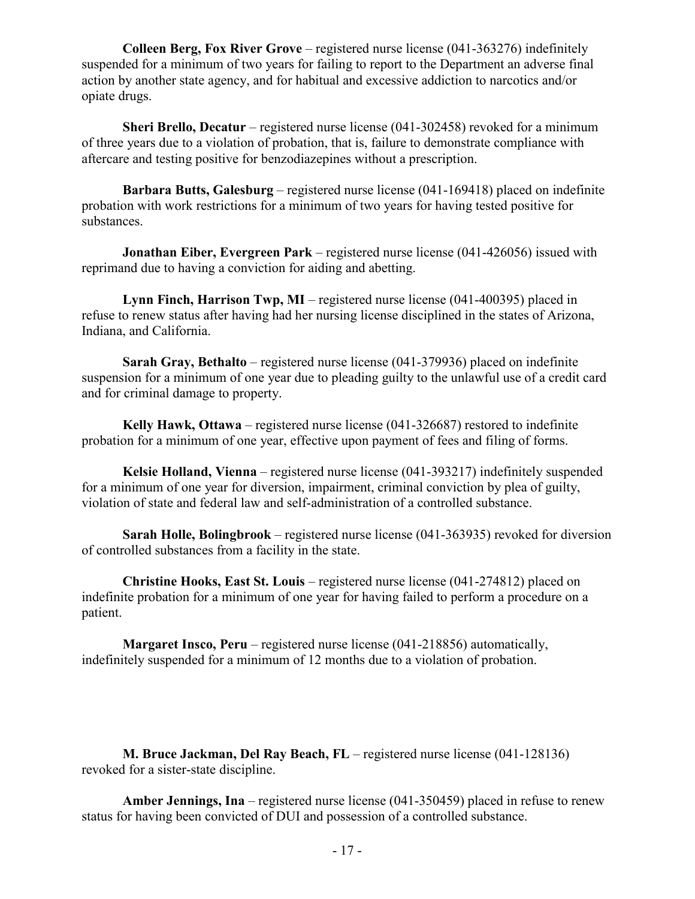**Colleen Berg, Fox River Grove** – registered nurse license (041-363276) indefinitely suspended for a minimum of two years for failing to report to the Department an adverse final action by another state agency, and for habitual and excessive addiction to narcotics and/or opiate drugs.

**Sheri Brello, Decatur** – registered nurse license (041-302458) revoked for a minimum of three years due to a violation of probation, that is, failure to demonstrate compliance with aftercare and testing positive for benzodiazepines without a prescription.

**Barbara Butts, Galesburg** – registered nurse license (041-169418) placed on indefinite probation with work restrictions for a minimum of two years for having tested positive for substances.

**Jonathan Eiber, Evergreen Park** – registered nurse license (041-426056) issued with reprimand due to having a conviction for aiding and abetting.

**Lynn Finch, Harrison Twp, MI** – registered nurse license (041-400395) placed in refuse to renew status after having had her nursing license disciplined in the states of Arizona, Indiana, and California.

**Sarah Gray, Bethalto** – registered nurse license (041-379936) placed on indefinite suspension for a minimum of one year due to pleading guilty to the unlawful use of a credit card and for criminal damage to property.

**Kelly Hawk, Ottawa** – registered nurse license (041-326687) restored to indefinite probation for a minimum of one year, effective upon payment of fees and filing of forms.

**Kelsie Holland, Vienna** – registered nurse license (041-393217) indefinitely suspended for a minimum of one year for diversion, impairment, criminal conviction by plea of guilty, violation of state and federal law and self-administration of a controlled substance.

**Sarah Holle, Bolingbrook** – registered nurse license (041-363935) revoked for diversion of controlled substances from a facility in the state.

**Christine Hooks, East St. Louis** – registered nurse license (041-274812) placed on indefinite probation for a minimum of one year for having failed to perform a procedure on a patient.

**Margaret Insco, Peru** – registered nurse license (041-218856) automatically, indefinitely suspended for a minimum of 12 months due to a violation of probation.

**M. Bruce Jackman, Del Ray Beach, FL** – registered nurse license (041-128136) revoked for a sister-state discipline.

**Amber Jennings, Ina** – registered nurse license (041-350459) placed in refuse to renew status for having been convicted of DUI and possession of a controlled substance.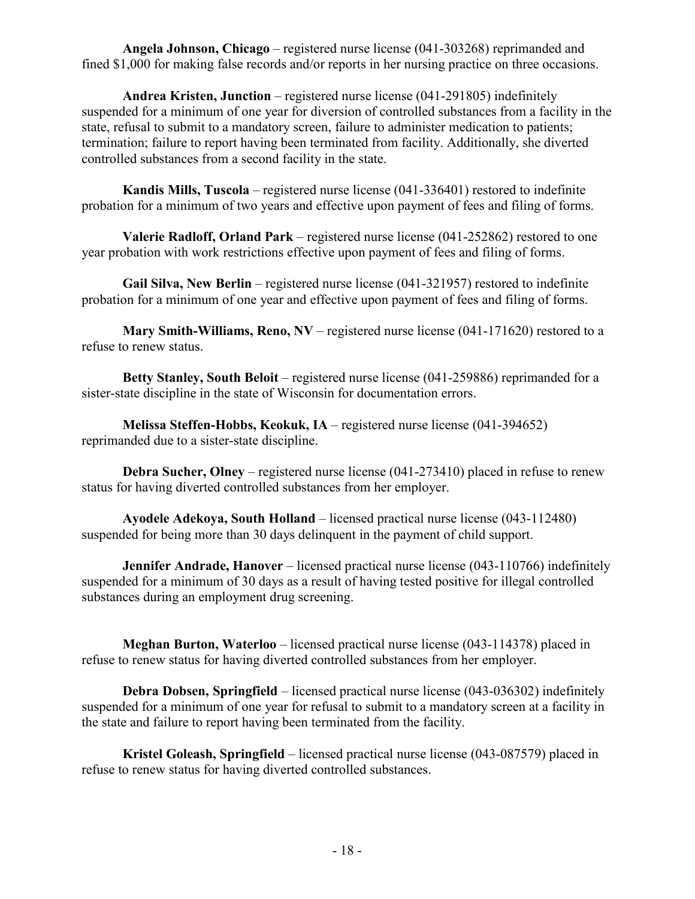**Angela Johnson, Chicago** – registered nurse license (041-303268) reprimanded and fined \$1,000 for making false records and/or reports in her nursing practice on three occasions.

**Andrea Kristen, Junction** – registered nurse license (041-291805) indefinitely suspended for a minimum of one year for diversion of controlled substances from a facility in the state, refusal to submit to a mandatory screen, failure to administer medication to patients; termination; failure to report having been terminated from facility. Additionally, she diverted controlled substances from a second facility in the state.

**Kandis Mills, Tuscola** – registered nurse license (041-336401) restored to indefinite probation for a minimum of two years and effective upon payment of fees and filing of forms.

**Valerie Radloff, Orland Park** – registered nurse license (041-252862) restored to one year probation with work restrictions effective upon payment of fees and filing of forms.

**Gail Silva, New Berlin** – registered nurse license (041-321957) restored to indefinite probation for a minimum of one year and effective upon payment of fees and filing of forms.

**Mary Smith-Williams, Reno, NV** – registered nurse license (041-171620) restored to a refuse to renew status.

**Betty Stanley, South Beloit** – registered nurse license (041-259886) reprimanded for a sister-state discipline in the state of Wisconsin for documentation errors.

**Melissa Steffen-Hobbs, Keokuk, IA** – registered nurse license (041-394652) reprimanded due to a sister-state discipline.

**Debra Sucher, Olney** – registered nurse license (041-273410) placed in refuse to renew status for having diverted controlled substances from her employer.

**Ayodele Adekoya, South Holland** – licensed practical nurse license (043-112480) suspended for being more than 30 days delinquent in the payment of child support.

**Jennifer Andrade, Hanover** – licensed practical nurse license (043-110766) indefinitely suspended for a minimum of 30 days as a result of having tested positive for illegal controlled substances during an employment drug screening.

**Meghan Burton, Waterloo** – licensed practical nurse license (043-114378) placed in refuse to renew status for having diverted controlled substances from her employer.

**Debra Dobsen, Springfield** – licensed practical nurse license (043-036302) indefinitely suspended for a minimum of one year for refusal to submit to a mandatory screen at a facility in the state and failure to report having been terminated from the facility.

**Kristel Goleash, Springfield** – licensed practical nurse license (043-087579) placed in refuse to renew status for having diverted controlled substances.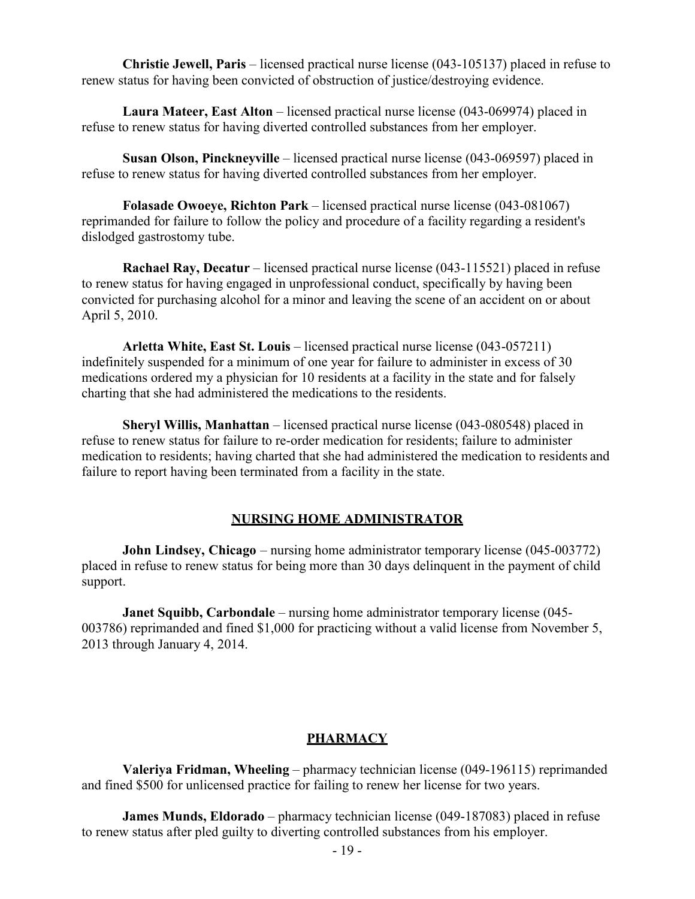**Christie Jewell, Paris** – licensed practical nurse license (043-105137) placed in refuse to renew status for having been convicted of obstruction of justice/destroying evidence.

**Laura Mateer, East Alton** – licensed practical nurse license (043-069974) placed in refuse to renew status for having diverted controlled substances from her employer.

**Susan Olson, Pinckneyville** – licensed practical nurse license (043-069597) placed in refuse to renew status for having diverted controlled substances from her employer.

**Folasade Owoeye, Richton Park** – licensed practical nurse license (043-081067) reprimanded for failure to follow the policy and procedure of a facility regarding a resident's dislodged gastrostomy tube.

**Rachael Ray, Decatur** – licensed practical nurse license (043-115521) placed in refuse to renew status for having engaged in unprofessional conduct, specifically by having been convicted for purchasing alcohol for a minor and leaving the scene of an accident on or about April 5, 2010.

**Arletta White, East St. Louis** – licensed practical nurse license (043-057211) indefinitely suspended for a minimum of one year for failure to administer in excess of 30 medications ordered my a physician for 10 residents at a facility in the state and for falsely charting that she had administered the medications to the residents.

**Sheryl Willis, Manhattan** – licensed practical nurse license (043-080548) placed in refuse to renew status for failure to re-order medication for residents; failure to administer medication to residents; having charted that she had administered the medication to residents and failure to report having been terminated from a facility in the state.

#### **NURSING HOME ADMINISTRATOR**

**John Lindsey, Chicago** – nursing home administrator temporary license (045-003772) placed in refuse to renew status for being more than 30 days delinquent in the payment of child support.

**Janet Squibb, Carbondale** – nursing home administrator temporary license (045- 003786) reprimanded and fined \$1,000 for practicing without a valid license from November 5, 2013 through January 4, 2014.

#### **PHARMACY**

**Valeriya Fridman, Wheeling** – pharmacy technician license (049-196115) reprimanded and fined \$500 for unlicensed practice for failing to renew her license for two years.

**James Munds, Eldorado** – pharmacy technician license (049-187083) placed in refuse to renew status after pled guilty to diverting controlled substances from his employer.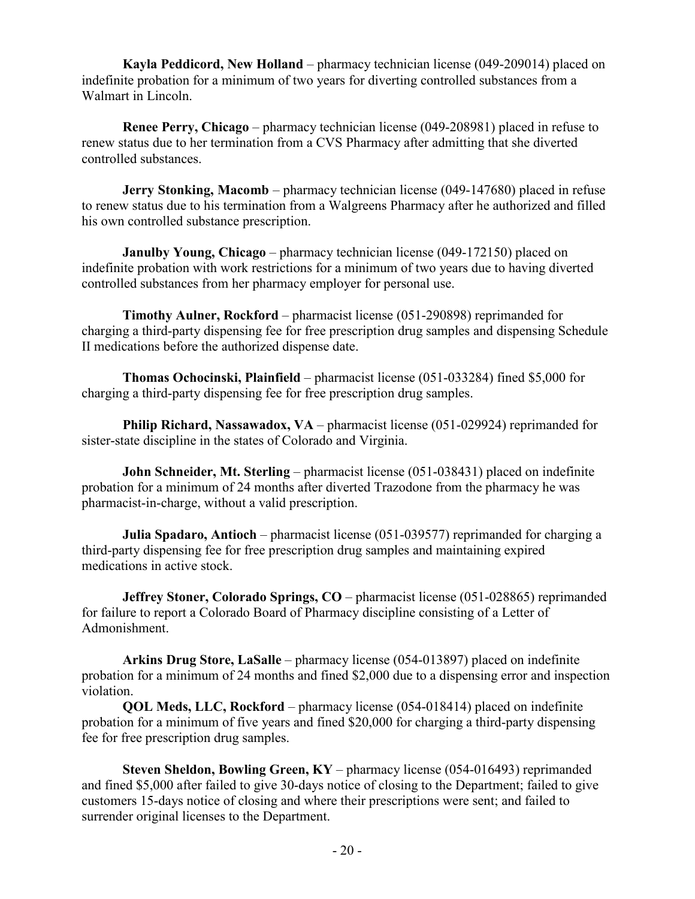**Kayla Peddicord, New Holland** – pharmacy technician license (049-209014) placed on indefinite probation for a minimum of two years for diverting controlled substances from a Walmart in Lincoln.

**Renee Perry, Chicago** – pharmacy technician license (049-208981) placed in refuse to renew status due to her termination from a CVS Pharmacy after admitting that she diverted controlled substances.

**Jerry Stonking, Macomb** – pharmacy technician license (049-147680) placed in refuse to renew status due to his termination from a Walgreens Pharmacy after he authorized and filled his own controlled substance prescription.

**Janulby Young, Chicago** – pharmacy technician license (049-172150) placed on indefinite probation with work restrictions for a minimum of two years due to having diverted controlled substances from her pharmacy employer for personal use.

**Timothy Aulner, Rockford** – pharmacist license (051-290898) reprimanded for charging a third-party dispensing fee for free prescription drug samples and dispensing Schedule II medications before the authorized dispense date.

**Thomas Ochocinski, Plainfield** – pharmacist license (051-033284) fined \$5,000 for charging a third-party dispensing fee for free prescription drug samples.

**Philip Richard, Nassawadox, VA** – pharmacist license (051-029924) reprimanded for sister-state discipline in the states of Colorado and Virginia.

**John Schneider, Mt. Sterling** – pharmacist license (051-038431) placed on indefinite probation for a minimum of 24 months after diverted Trazodone from the pharmacy he was pharmacist-in-charge, without a valid prescription.

**Julia Spadaro, Antioch** – pharmacist license (051-039577) reprimanded for charging a third-party dispensing fee for free prescription drug samples and maintaining expired medications in active stock.

**Jeffrey Stoner, Colorado Springs, CO** – pharmacist license (051-028865) reprimanded for failure to report a Colorado Board of Pharmacy discipline consisting of a Letter of Admonishment.

**Arkins Drug Store, LaSalle** – pharmacy license (054-013897) placed on indefinite probation for a minimum of 24 months and fined \$2,000 due to a dispensing error and inspection violation.

**QOL Meds, LLC, Rockford** – pharmacy license (054-018414) placed on indefinite probation for a minimum of five years and fined \$20,000 for charging a third-party dispensing fee for free prescription drug samples.

**Steven Sheldon, Bowling Green, KY** – pharmacy license (054-016493) reprimanded and fined \$5,000 after failed to give 30-days notice of closing to the Department; failed to give customers 15-days notice of closing and where their prescriptions were sent; and failed to surrender original licenses to the Department.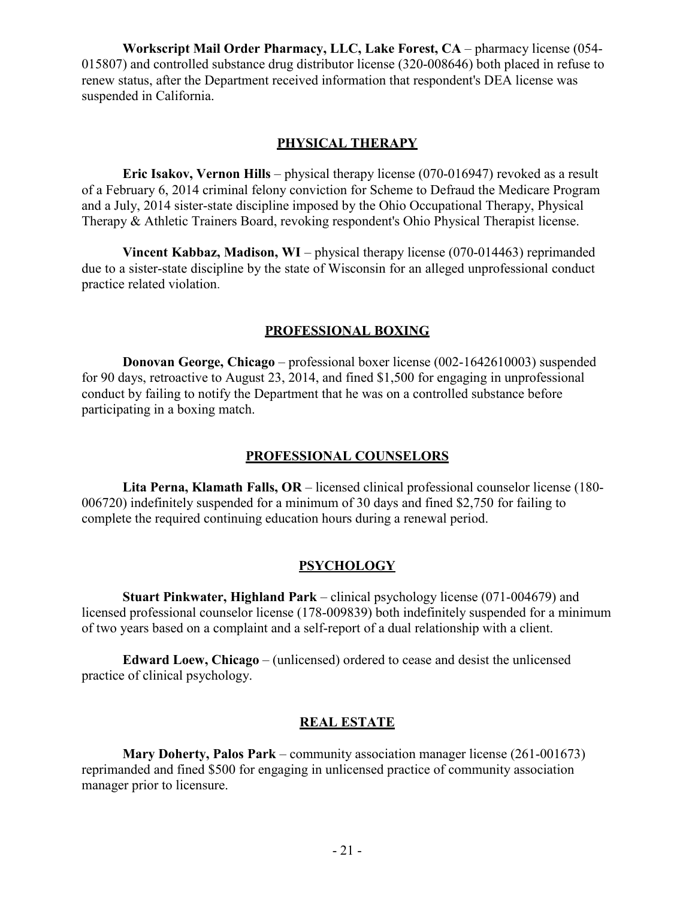**Workscript Mail Order Pharmacy, LLC, Lake Forest, CA** – pharmacy license (054- 015807) and controlled substance drug distributor license (320-008646) both placed in refuse to renew status, after the Department received information that respondent's DEA license was suspended in California.

#### **PHYSICAL THERAPY**

**Eric Isakov, Vernon Hills** – physical therapy license (070-016947) revoked as a result of a February 6, 2014 criminal felony conviction for Scheme to Defraud the Medicare Program and a July, 2014 sister-state discipline imposed by the Ohio Occupational Therapy, Physical Therapy & Athletic Trainers Board, revoking respondent's Ohio Physical Therapist license.

**Vincent Kabbaz, Madison, WI** – physical therapy license (070-014463) reprimanded due to a sister-state discipline by the state of Wisconsin for an alleged unprofessional conduct practice related violation.

#### **PROFESSIONAL BOXING**

**Donovan George, Chicago** – professional boxer license (002-1642610003) suspended for 90 days, retroactive to August 23, 2014, and fined \$1,500 for engaging in unprofessional conduct by failing to notify the Department that he was on a controlled substance before participating in a boxing match.

#### **PROFESSIONAL COUNSELORS**

**Lita Perna, Klamath Falls, OR** – licensed clinical professional counselor license (180- 006720) indefinitely suspended for a minimum of 30 days and fined \$2,750 for failing to complete the required continuing education hours during a renewal period.

#### **PSYCHOLOGY**

**Stuart Pinkwater, Highland Park** – clinical psychology license (071-004679) and licensed professional counselor license (178-009839) both indefinitely suspended for a minimum of two years based on a complaint and a self-report of a dual relationship with a client.

**Edward Loew, Chicago** – (unlicensed) ordered to cease and desist the unlicensed practice of clinical psychology.

#### **REAL ESTATE**

**Mary Doherty, Palos Park** – community association manager license (261-001673) reprimanded and fined \$500 for engaging in unlicensed practice of community association manager prior to licensure.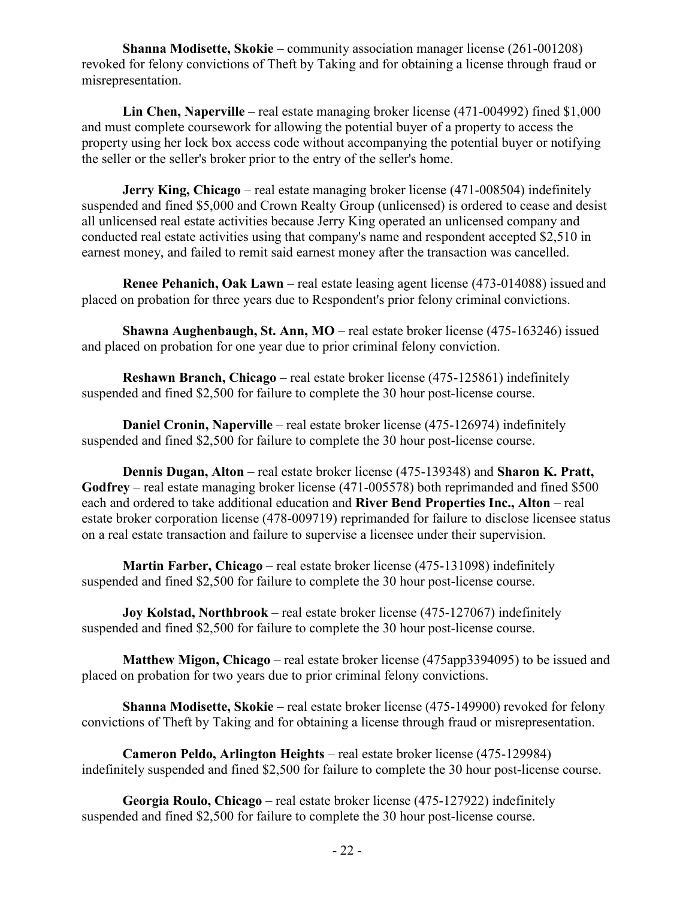**Shanna Modisette, Skokie** – community association manager license (261-001208) revoked for felony convictions of Theft by Taking and for obtaining a license through fraud or misrepresentation.

**Lin Chen, Naperville** – real estate managing broker license (471-004992) fined \$1,000 and must complete coursework for allowing the potential buyer of a property to access the property using her lock box access code without accompanying the potential buyer or notifying the seller or the seller's broker prior to the entry of the seller's home.

**Jerry King, Chicago** – real estate managing broker license (471-008504) indefinitely suspended and fined \$5,000 and Crown Realty Group (unlicensed) is ordered to cease and desist all unlicensed real estate activities because Jerry King operated an unlicensed company and conducted real estate activities using that company's name and respondent accepted \$2,510 in earnest money, and failed to remit said earnest money after the transaction was cancelled.

**Renee Pehanich, Oak Lawn** – real estate leasing agent license (473-014088) issued and placed on probation for three years due to Respondent's prior felony criminal convictions.

**Shawna Aughenbaugh, St. Ann, MO** – real estate broker license (475-163246) issued and placed on probation for one year due to prior criminal felony conviction.

**Reshawn Branch, Chicago** – real estate broker license (475-125861) indefinitely suspended and fined \$2,500 for failure to complete the 30 hour post-license course.

**Daniel Cronin, Naperville** – real estate broker license (475-126974) indefinitely suspended and fined \$2,500 for failure to complete the 30 hour post-license course.

**Dennis Dugan, Alton** – real estate broker license (475-139348) and **Sharon K. Pratt, Godfrey** – real estate managing broker license (471-005578) both reprimanded and fined \$500 each and ordered to take additional education and **River Bend Properties Inc., Alton** – real estate broker corporation license (478-009719) reprimanded for failure to disclose licensee status on a real estate transaction and failure to supervise a licensee under their supervision.

**Martin Farber, Chicago** – real estate broker license (475-131098) indefinitely suspended and fined \$2,500 for failure to complete the 30 hour post-license course.

**Joy Kolstad, Northbrook** – real estate broker license (475-127067) indefinitely suspended and fined \$2,500 for failure to complete the 30 hour post-license course.

**Matthew Migon, Chicago** – real estate broker license (475app3394095) to be issued and placed on probation for two years due to prior criminal felony convictions.

**Shanna Modisette, Skokie** – real estate broker license (475-149900) revoked for felony convictions of Theft by Taking and for obtaining a license through fraud or misrepresentation.

**Cameron Peldo, Arlington Heights** – real estate broker license (475-129984) indefinitely suspended and fined \$2,500 for failure to complete the 30 hour post-license course.

**Georgia Roulo, Chicago** – real estate broker license (475-127922) indefinitely suspended and fined \$2,500 for failure to complete the 30 hour post-license course.